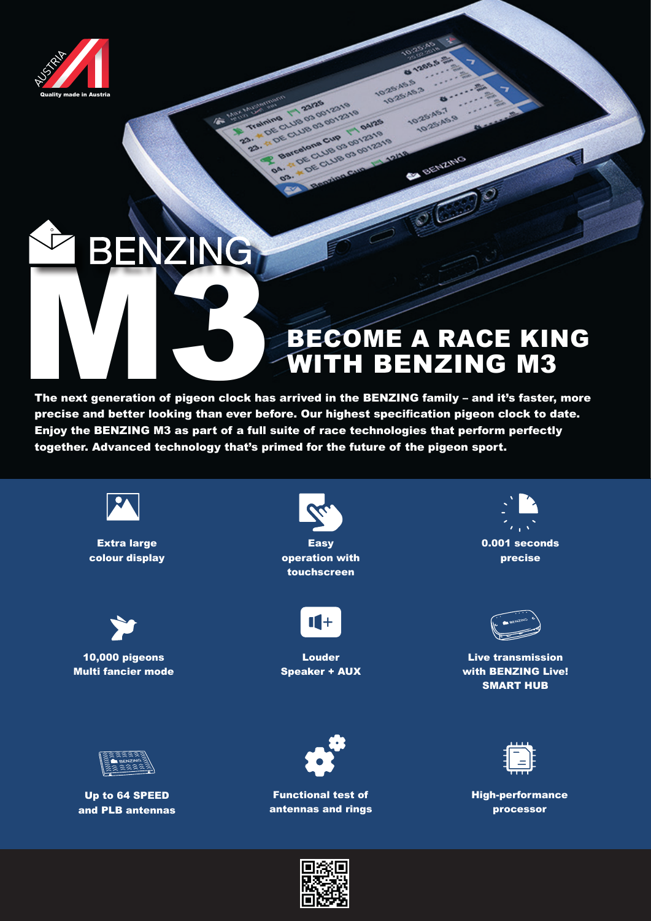

## BECOME A RACE KING WITH BENZING M3

**8 1265** 

10-25-A5-7 0-25-A5-19

BENZING

10-25-45.5 025'AS.3

**2119** 04/25

E CLUB OS do Tri paras

DE CLUB 03 do 12319

The next generation of pigeon clock has arrived in the BENZING family – and it's faster, more precise and better looking than ever before. Our highest specification pigeon clock to date. Enjoy the BENZING M3 as part of a full suite of race technologies that perform perfectly together. Advanced technology that's primed for the future of the pigeon sport.

ARDS

 $20$ 

 $\alpha$  $\sigma$ 

eliminal de de la de l'2319 23. 4 DE CLUB 03 001219

Barcelona Cup



Extra large colour display



10,000 pigeons Multi fancier mode



Up to 64 SPEED and PLB antennas



**Easy** operation with touchscreen



Louder Speaker + AUX



precise



Live transmission with BENZING Live! SMART HUB



High-performance processor



Functional test of antennas and rings